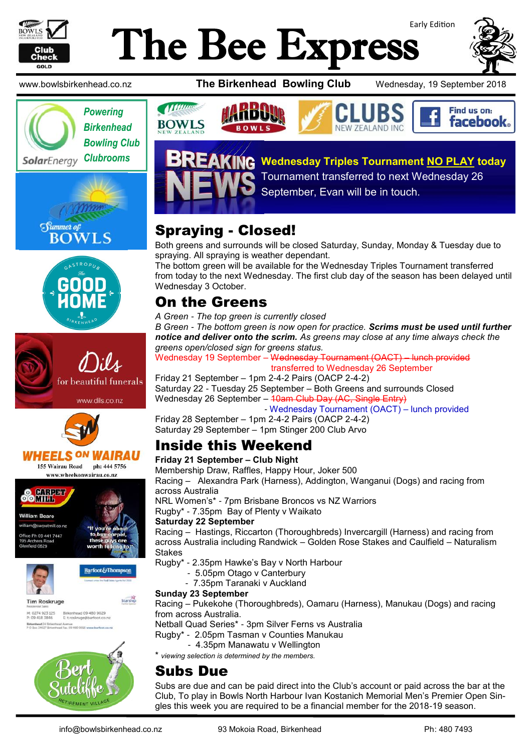

# Early Edition The Bee Express



















**Tim Roskruge** M: 0274 923 125 Birkenhead 09 480 9029<br>P: 09 418 3846 Etroskruge@barfoot.co.nz Birkenhead 24 Britent







**Wednesday Triples Tournament NO PLAY today** Tournament transferred to next Wednesday 26 September, Evan will be in touch.

# Spraying - Closed!

Both greens and surrounds will be closed Saturday, Sunday, Monday & Tuesday due to spraying. All spraying is weather dependant.

The bottom green will be available for the Wednesday Triples Tournament transferred from today to the next Wednesday. The first club day of the season has been delayed until Wednesday 3 October.

## On the Greens

*A Green - The top green is currently closed B Green - The bottom green is now open for practice. Scrims must be used until further notice and deliver onto the scrim. As greens may close at any time always check the greens open/closed sign for greens status.*

Wednesday 19 September – Wednesday Tournament (OACT) – lunch provided transferred to Wednesday 26 September

Friday 21 September – 1pm 2-4-2 Pairs (OACP 2-4-2) Saturday 22 - Tuesday 25 September – Both Greens and surrounds Closed Wednesday 26 September – 40am Club Day (AC, Single Entry)

- Wednesday Tournament (OACT) – lunch provided

Friday 28 September – 1pm 2-4-2 Pairs (OACP 2-4-2) Saturday 29 September – 1pm Stinger 200 Club Arvo

## Inside this Weekend

**Friday 21 September – Club Night** Membership Draw, Raffles, Happy Hour, Joker 500 Racing – Alexandra Park (Harness), Addington, Wanganui (Dogs) and racing from across Australia NRL Women's\* - 7pm Brisbane Broncos vs NZ Warriors

Rugby\* - 7.35pm Bay of Plenty v Waikato

#### **Saturday 22 September**

Racing – Hastings, Riccarton (Thoroughbreds) Invercargill (Harness) and racing from across Australia including Randwick – Golden Rose Stakes and Caulfield – Naturalism Stakes

- Rugby\* 2.35pm Hawke's Bay v North Harbour
	- 5.05pm Otago v Canterbury
		- 7.35pm Taranaki v Auckland

#### **Sunday 23 September**

Racing – Pukekohe (Thoroughbreds), Oamaru (Harness), Manukau (Dogs) and racing from across Australia.

Netball Quad Series\* - 3pm Silver Ferns vs Australia

Rugby\* - 2.05pm Tasman v Counties Manukau

- 4.35pm Manawatu v Wellington

\* *viewing selection is determined by the members.*

#### Subs Due

Subs are due and can be paid direct into the Club's account or paid across the bar at the Club, To play in Bowls North Harbour Ivan Kostanich Memorial Men's Premier Open Singles this week you are required to be a financial member for the 2018-19 season.

Barfoot&Thompson

**Starship**